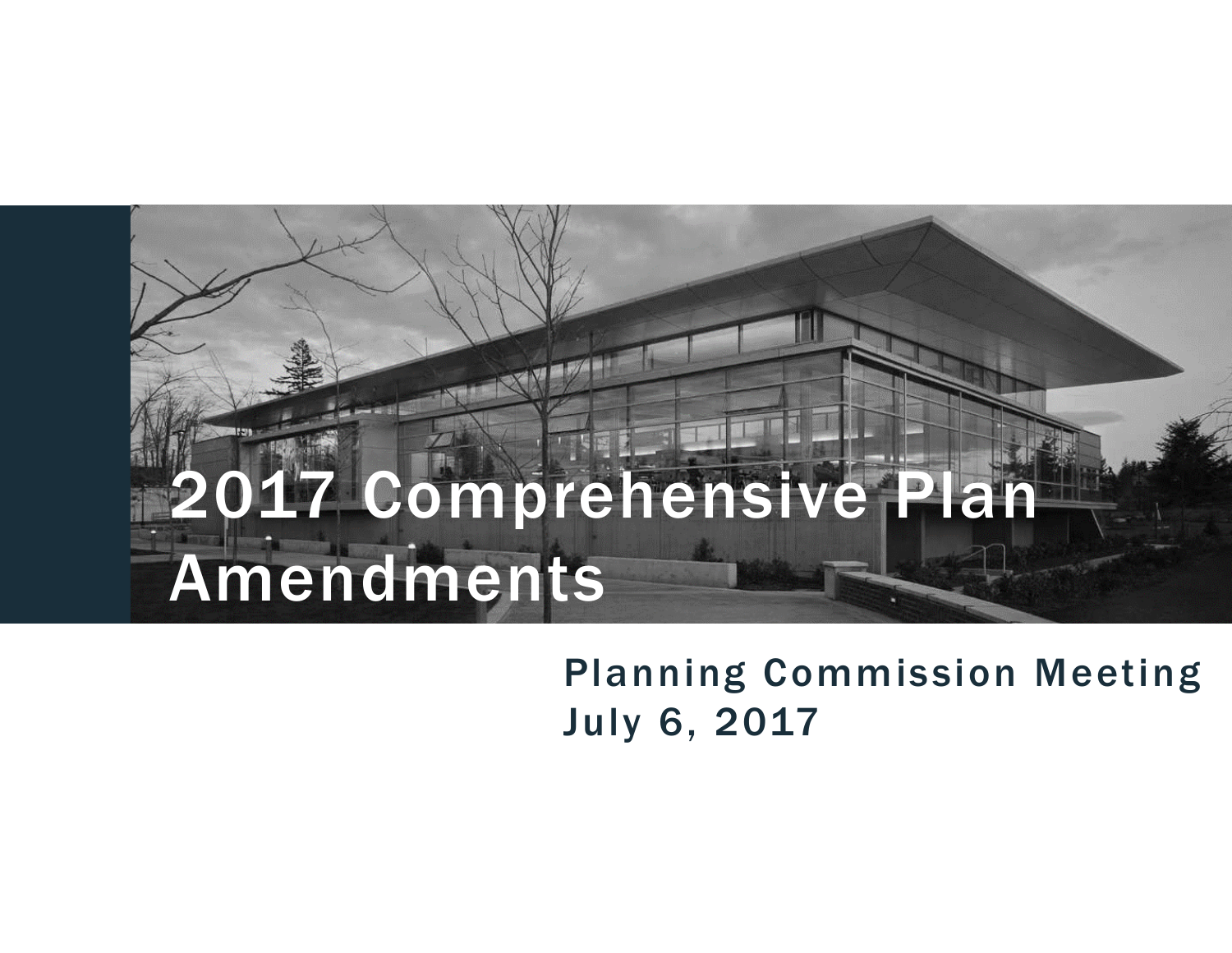Planning Commission Meeting July 6, 2017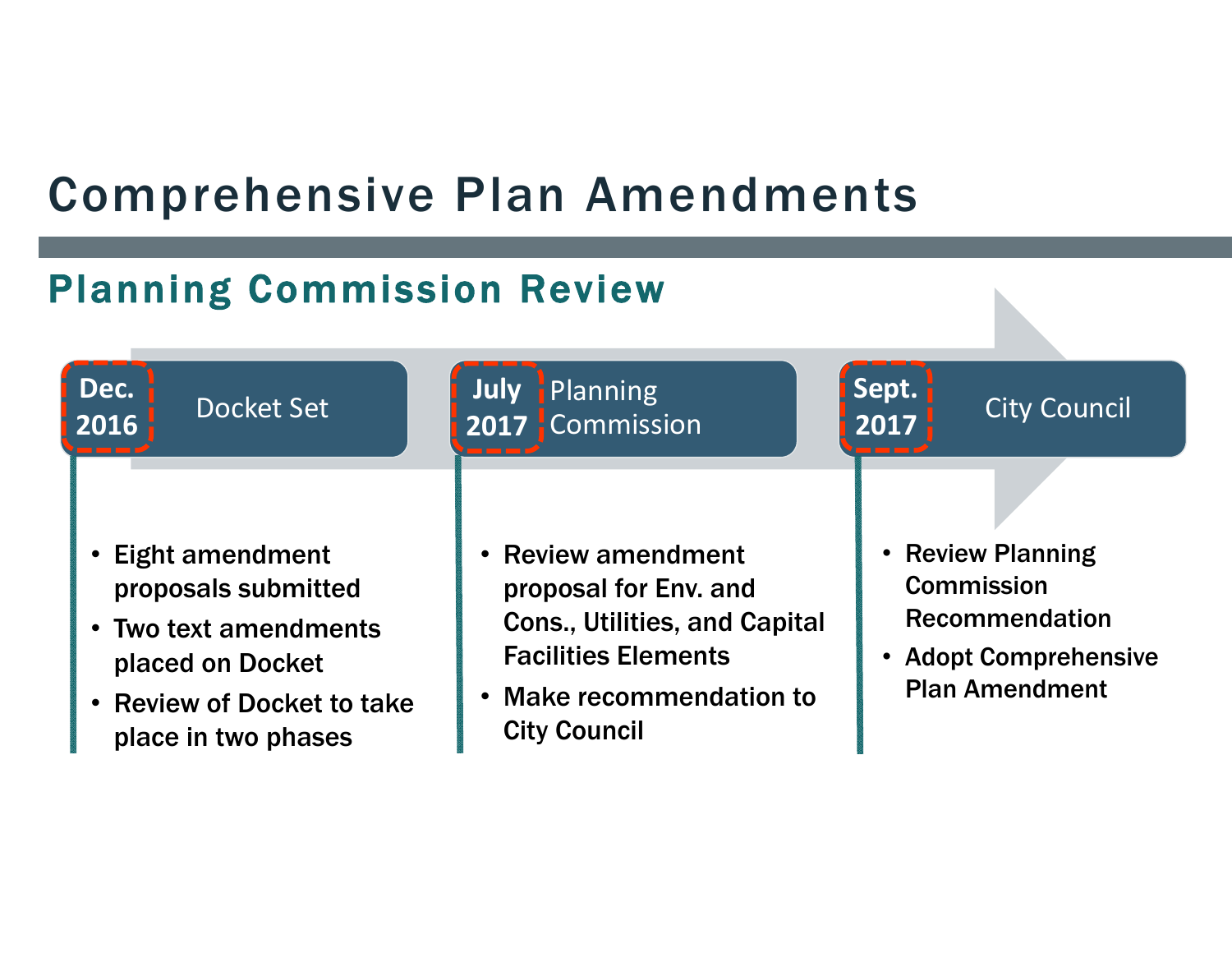### Planning Commission Review

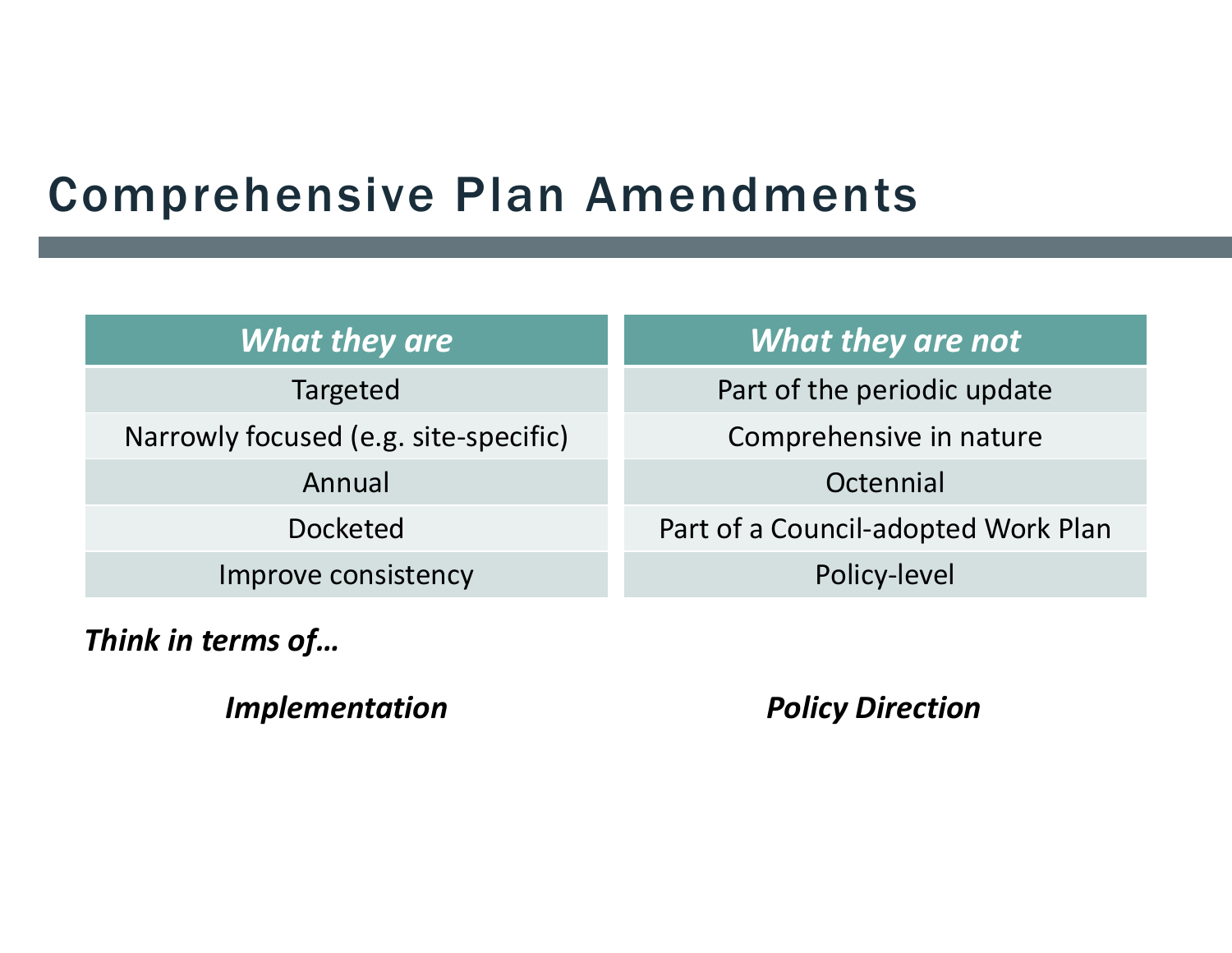| <b>What they are</b> |  |
|----------------------|--|
|----------------------|--|

Targeted

Narrowly focused (e.g. site‐specific)

Annual

Docketed

Improve consistency

*Think in terms of…*

*Implementation Policy Direction*

*What they are not*

Part of the periodic update

Comprehensive in nature

**Octennial** 

Part of a Council‐adopted Work Plan

Policy‐level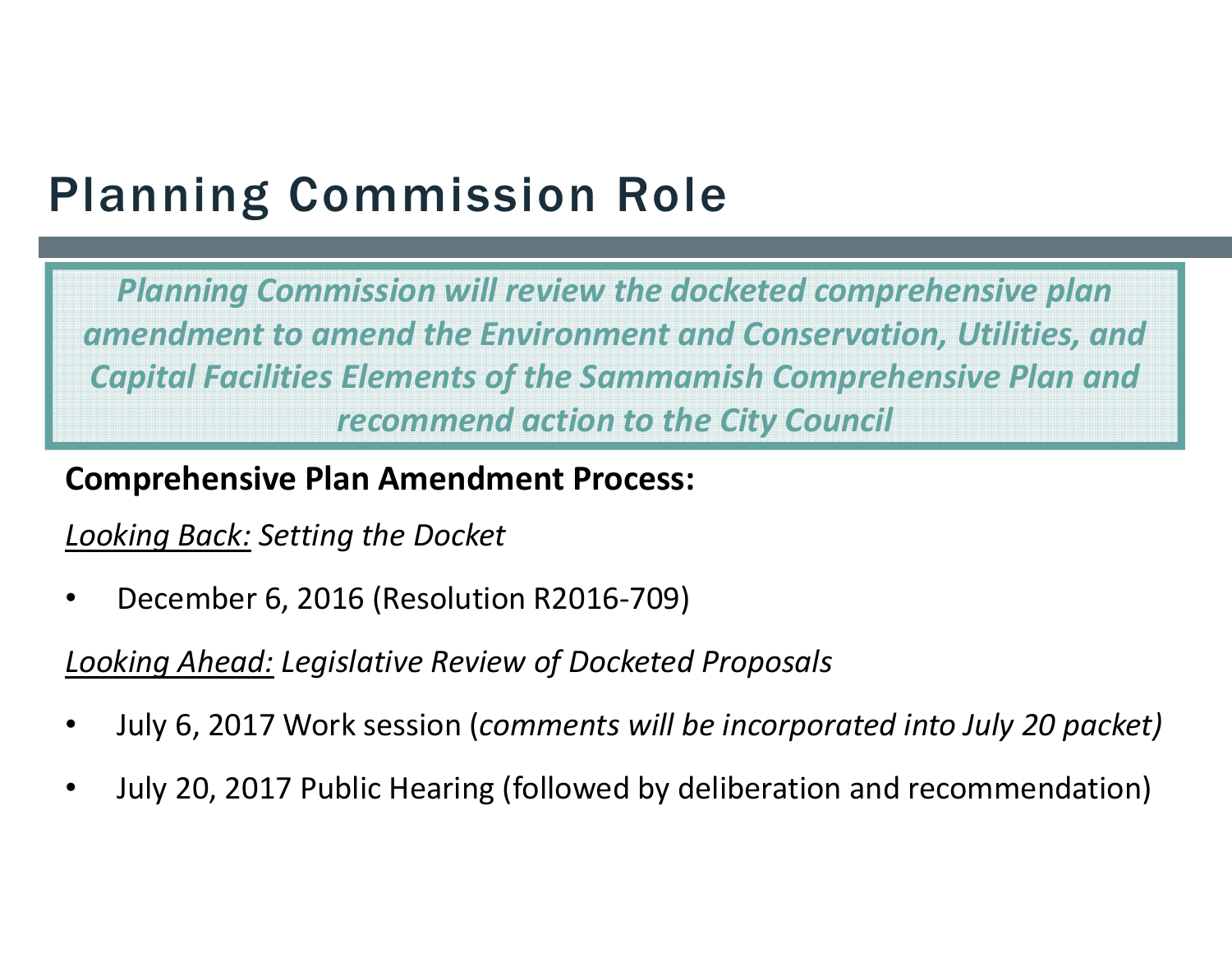# Planning Commission Role

*Planning Commission will review the docketed comprehensive plan amendment to amend the Environment and Conservation, Utilities, and Capital Facilities Elements of the Sammamish Comprehensive Plan and recommend action to the City Council*

#### **Comprehensive Plan Amendment Process:**

#### *Looking Back: Setting the Docket*

•December 6, 2016 (Resolution R2016‐709)

*Looking Ahead: Legislative Review of Docketed Proposals*

- •July 6, 2017 Work session (*comments will be incorporated into July 20 packet)*
- •July 20, 2017 Public Hearing (followed by deliberation and recommendation)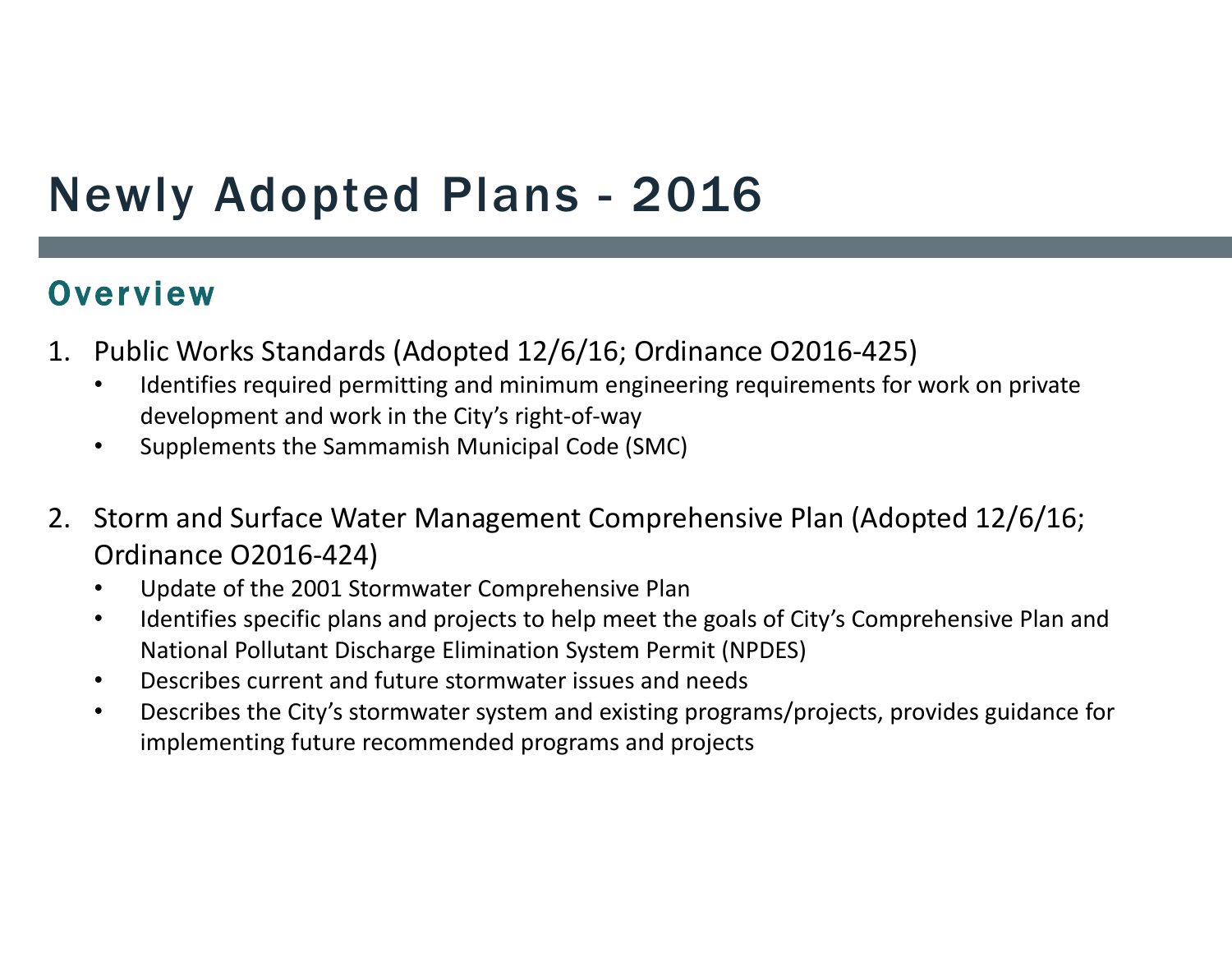# Newly Adopted Plans - 2016

#### **Overview**

- 1. Public Works Standards (Adopted 12/6/16; Ordinance O2016‐425)
	- • Identifies required permitting and minimum engineering requirements for work on private development and work in the City's right‐of‐way
	- $\bullet$ Supplements the Sammamish Municipal Code (SMC)
- 2. Storm and Surface Water Management Comprehensive Plan (Adopted 12/6/16; Ordinance O2016‐424)
	- •Update of the 2001 Stormwater Comprehensive Plan
	- $\bullet$  Identifies specific plans and projects to help meet the goals of City's Comprehensive Plan and National Pollutant Discharge Elimination System Permit (NPDES)
	- •Describes current and future stormwater issues and needs
	- $\bullet$  Describes the City's stormwater system and existing programs/projects, provides guidance for implementing future recommended programs and projects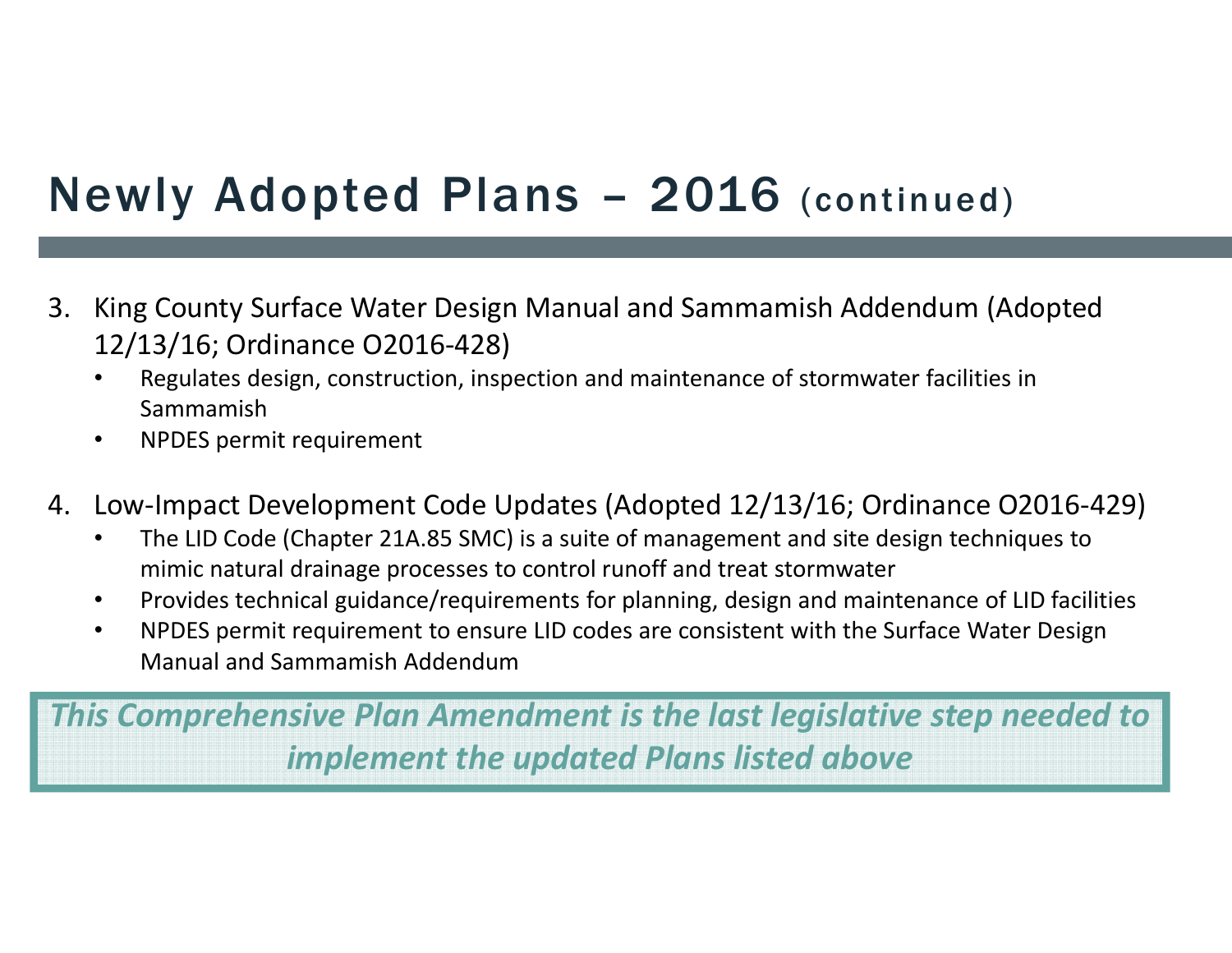# Newly Adopted Plans – 2016 (continued)

- 3. King County Surface Water Design Manual and Sammamish Addendum (Adopted 12/13/16; Ordinance O2016‐428)
	- • Regulates design, construction, inspection and maintenance of stormwater facilities in Sammamish
	- $\bullet$ NPDES permit requirement
- 4. Low‐Impact Development Code Updates (Adopted 12/13/16; Ordinance O2016‐429)
	- • The LID Code (Chapter 21A.85 SMC) is a suite of management and site design techniques to mimic natural drainage processes to control runoff and treat stormwater
	- •Provides technical guidance/requirements for planning, design and maintenance of LID facilities
	- $\bullet$  NPDES permit requirement to ensure LID codes are consistent with the Surface Water Design Manual and Sammamish Addendum

*This Comprehensive Plan Amendment is the last legislative step needed to implement the updated Plans listed above*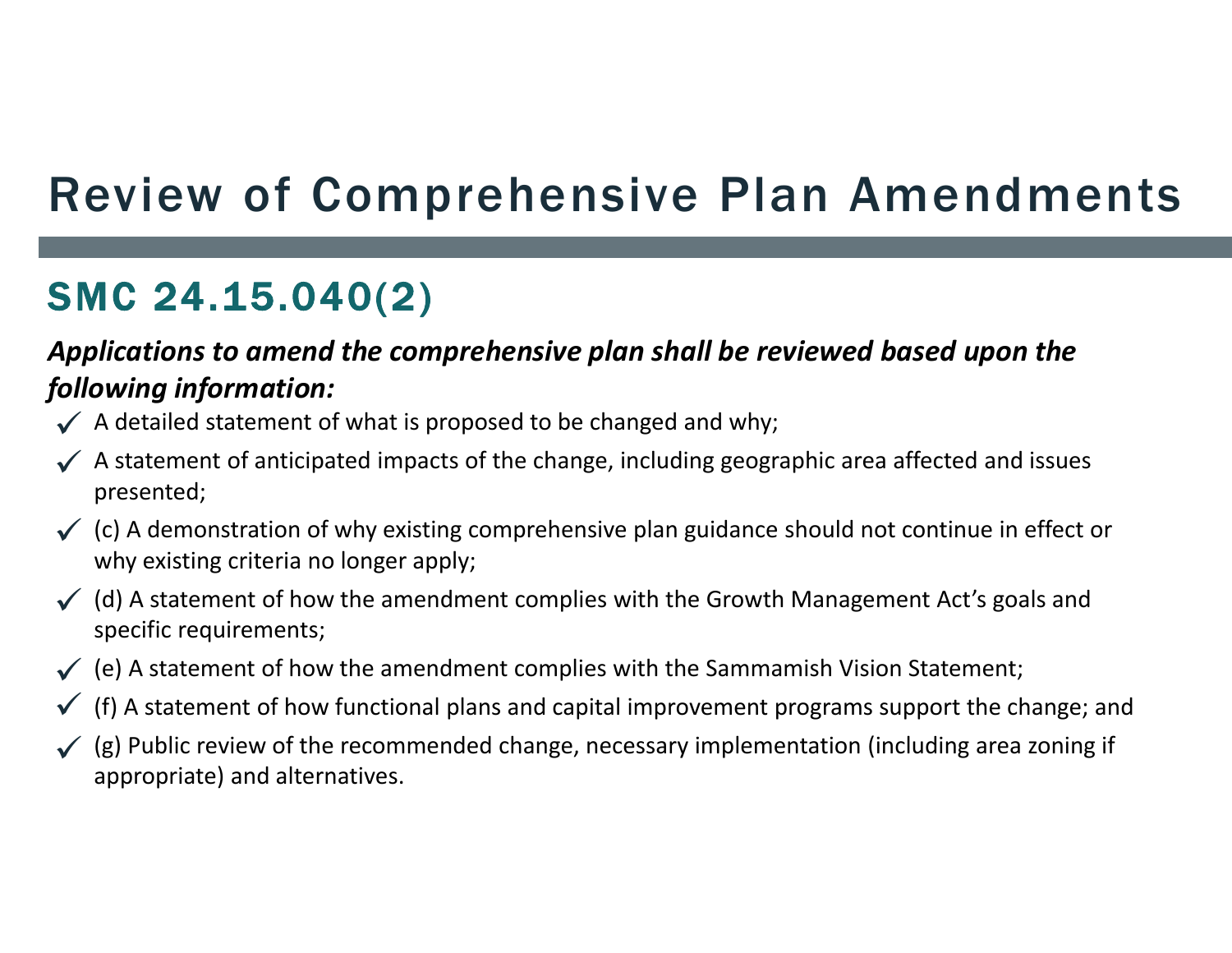# Review of Comprehensive Plan Amendments

### SMC 24.15.040(2)

#### *Applications to amend the comprehensive plan shall be reviewed based upon the following information:*

- $\checkmark$  A detailed statement of what is proposed to be changed and why;
- $\checkmark$  A statement of anticipated impacts of the change, including geographic area affected and issues presented;
- $\checkmark$  (c) A demonstration of why existing comprehensive plan guidance should not continue in effect or why existing criteria no longer apply;
- $\checkmark$  (d) A statement of how the amendment complies with the Growth Management Act's goals and specific requirements;
- $\checkmark$  (e) A statement of how the amendment complies with the Sammamish Vision Statement;
- (f) A statement of how functional plans and capital improvement programs support the change; and  $\checkmark$
- (g) Public review of the recommended change, necessary implementation (including area zoning if appropriate) and alternatives.  $\checkmark$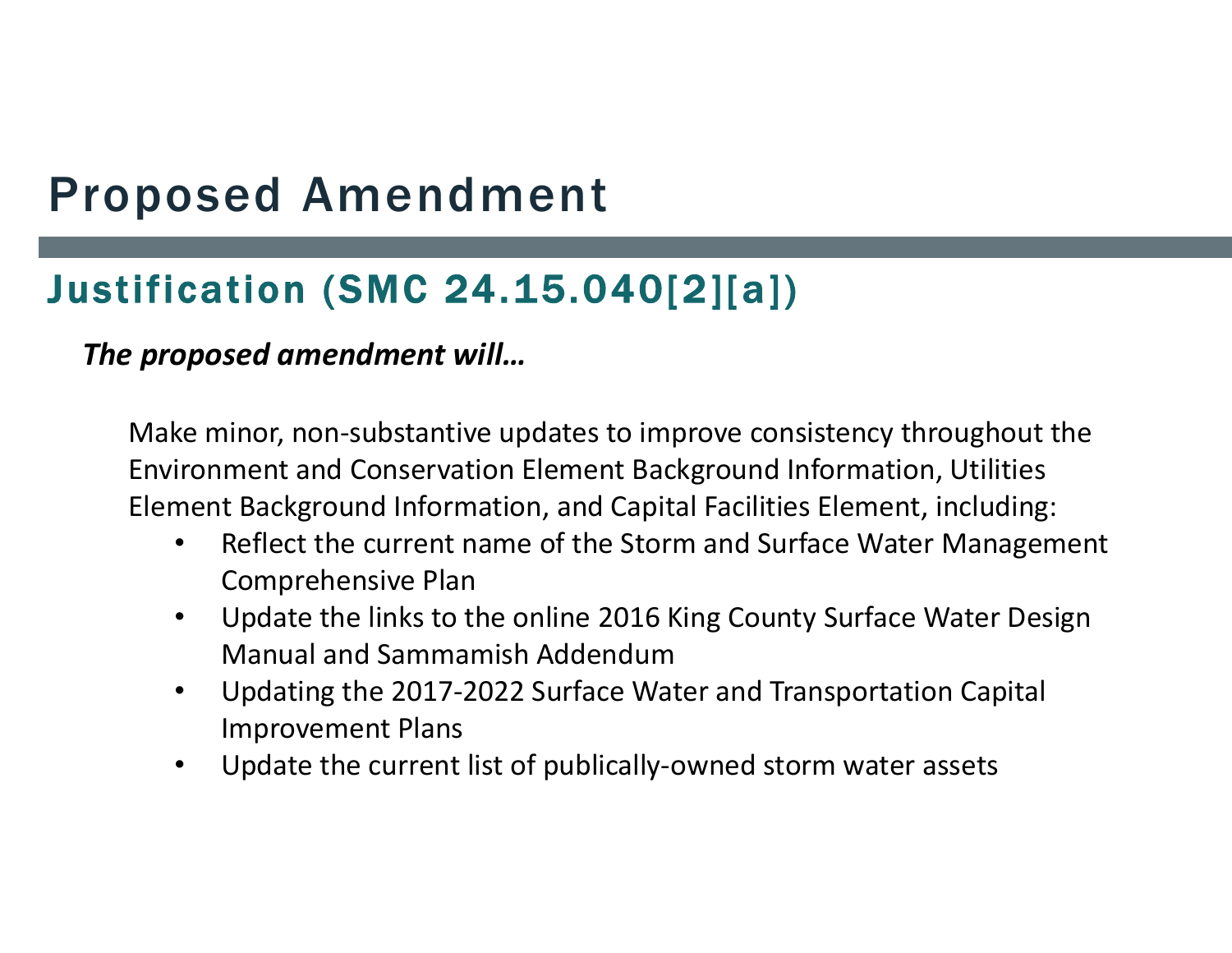### Justification (SMC 24.15.040[2][a])

#### *The proposed amendment will…*

Make minor, non‐substantive updates to improve consistency throughout the Environment and Conservation Element Background Information, Utilities Element Background Information, and Capital Facilities Element, including:

- • Reflect the current name of the Storm and Surface Water Management Comprehensive Plan
- • Update the links to the online 2016 King County Surface Water Design Manual and Sammamish Addendum
- $\bullet$  Updating the 2017‐2022 Surface Water and Transportation Capital Improvement Plans
- $\bullet$ Update the current list of publically‐owned storm water assets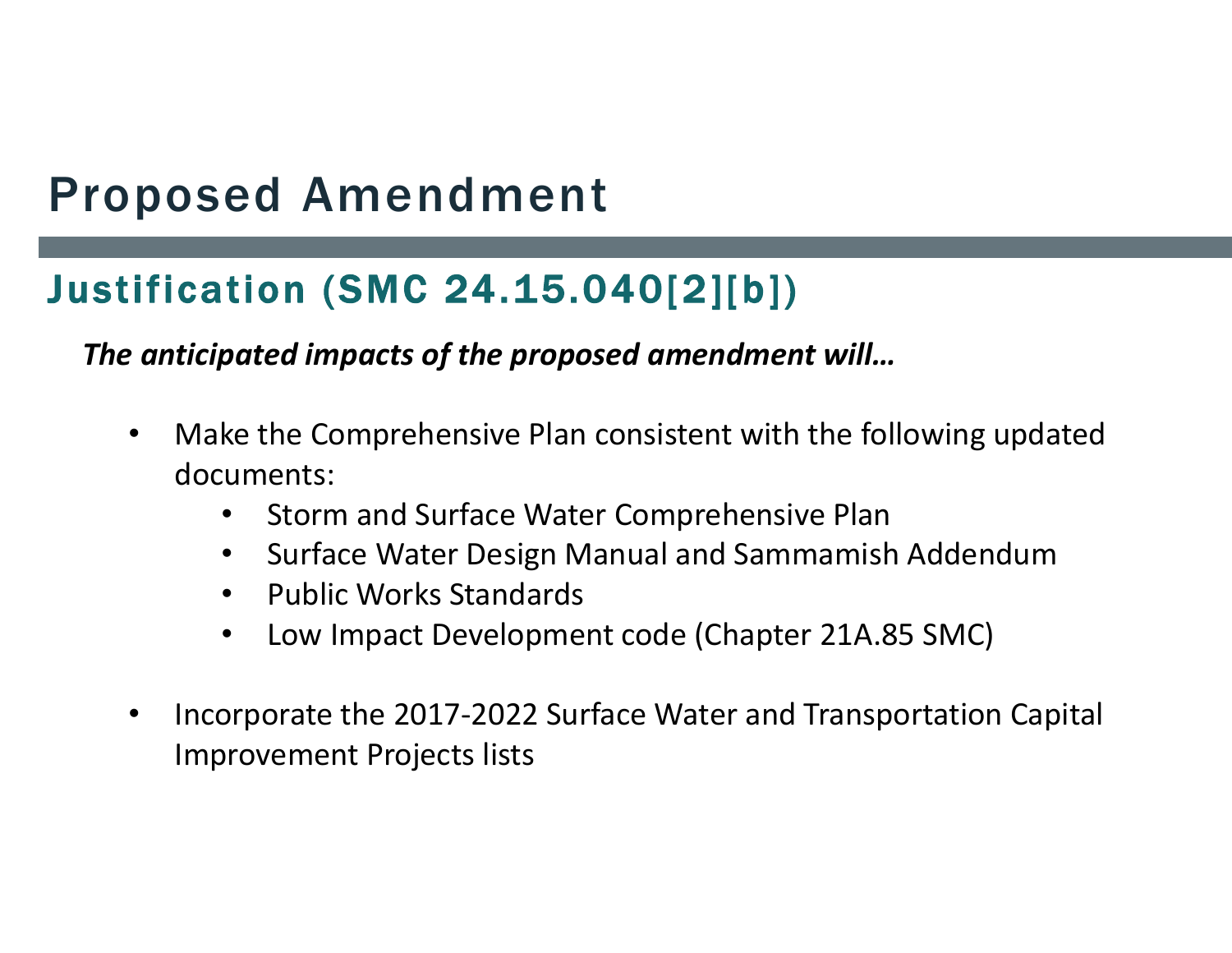### Justification (SMC 24.15.040[2][b])

*The anticipated impacts of the proposed amendment will…*

- $\bullet$  Make the Comprehensive Plan consistent with the following updated documents:
	- $\bullet$ Storm and Surface Water Comprehensive Plan
	- •Surface Water Design Manual and Sammamish Addendum
	- $\bullet$ Public Works Standards
	- $\bullet$ Low Impact Development code (Chapter 21A.85 SMC)
- • Incorporate the 2017‐2022 Surface Water and Transportation Capital Improvement Projects lists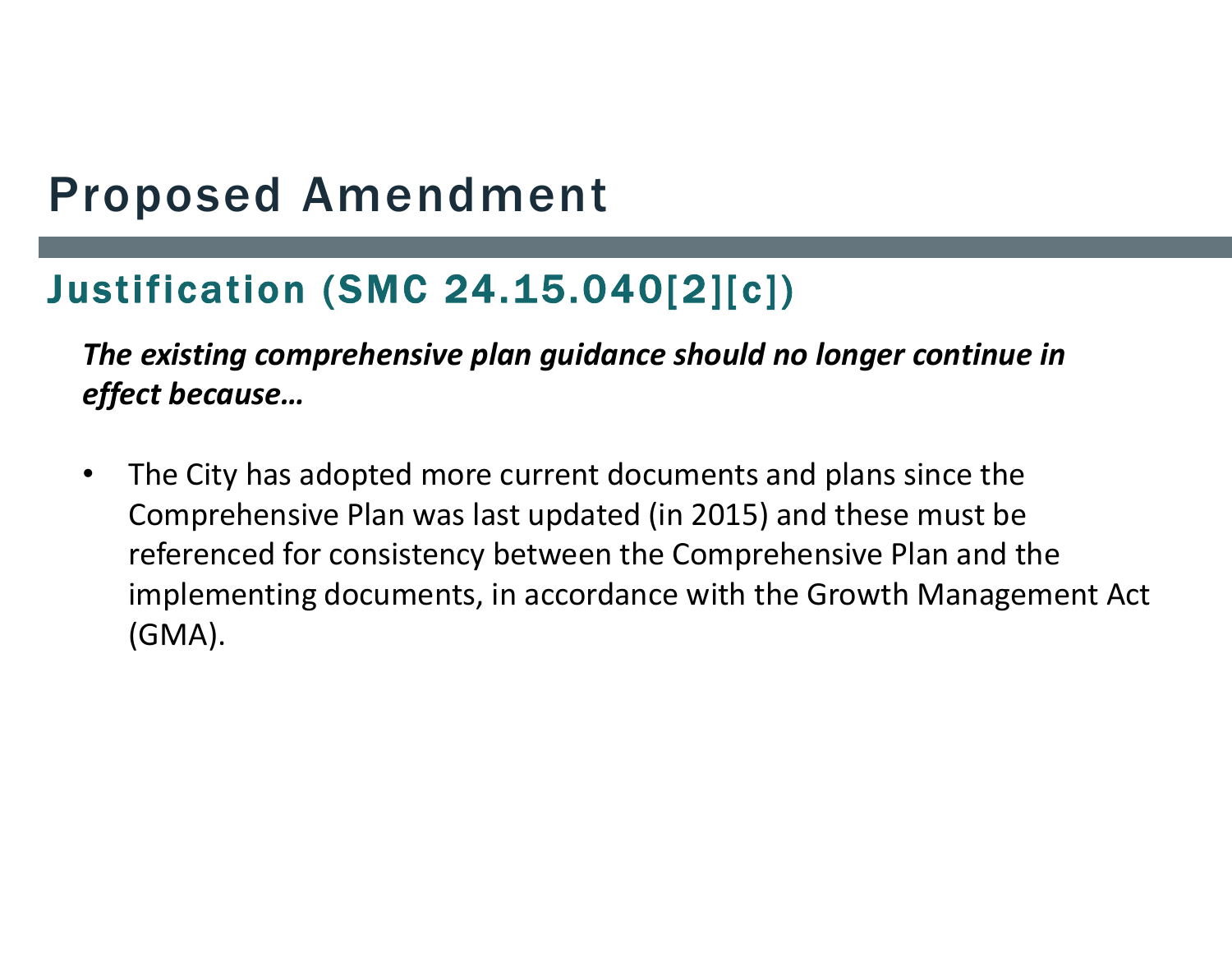### Justification (SMC 24.15.040[2][c])

*The existing comprehensive plan guidance should no longer continue in effect because…*

• The City has adopted more current documents and plans since the Comprehensive Plan was last updated (in 2015) and these must be referenced for consistency between the Comprehensive Plan and the implementing documents, in accordance with the Growth Management Act (GMA).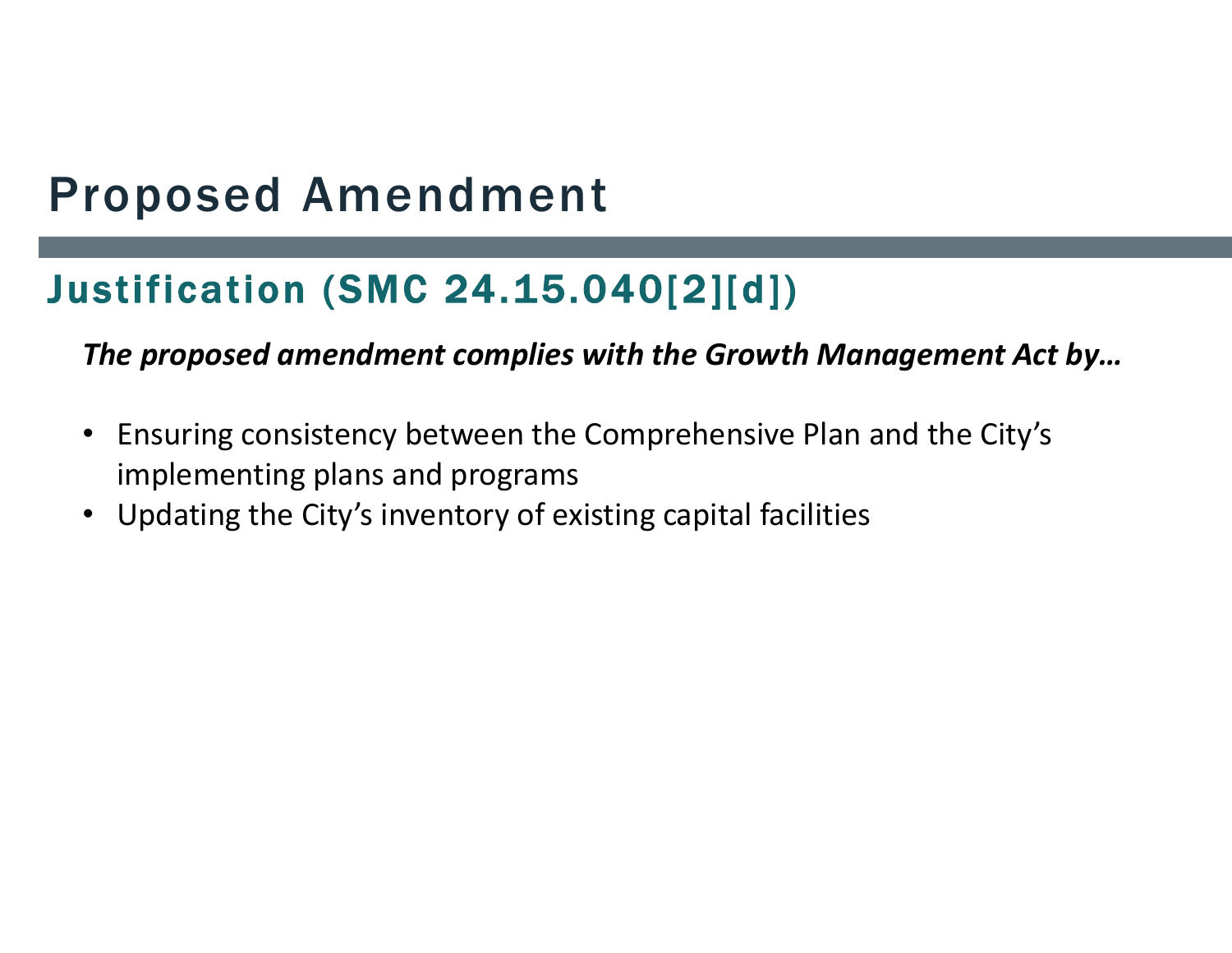### Justification (SMC 24.15.040[2][d])

*The proposed amendment complies with the Growth Management Act by…*

- Ensuring consistency between the Comprehensive Plan and the City's implementing plans and programs
- Updating the City's inventory of existing capital facilities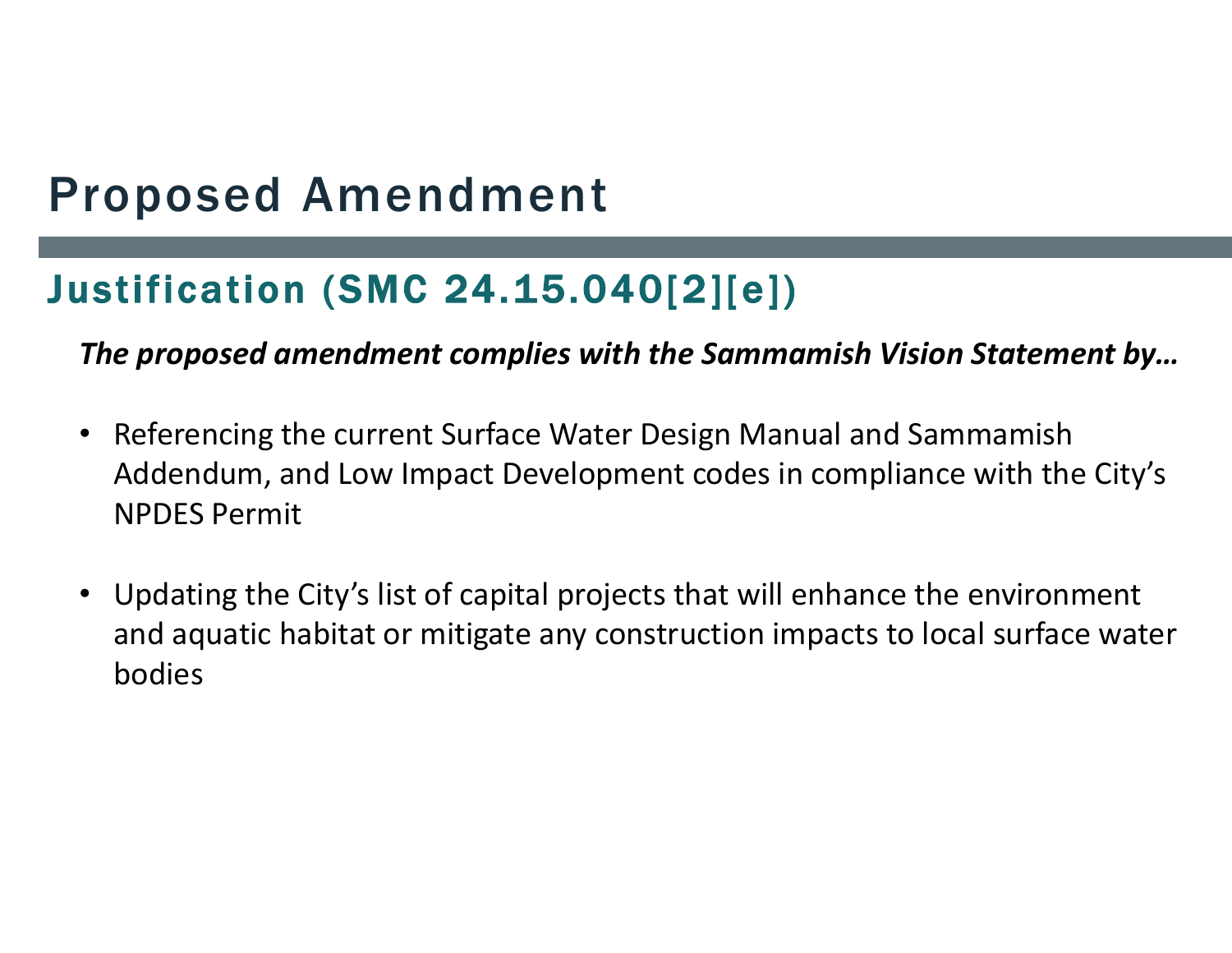### Justification (SMC 24.15.040[2][e])

*The proposed amendment complies with the Sammamish Vision Statement by…*

- Referencing the current Surface Water Design Manual and Sammamish Addendum, and Low Impact Development codes in compliance with the City's NPDES Permit
- Updating the City's list of capital projects that will enhance the environment and aquatic habitat or mitigate any construction impacts to local surface water bodies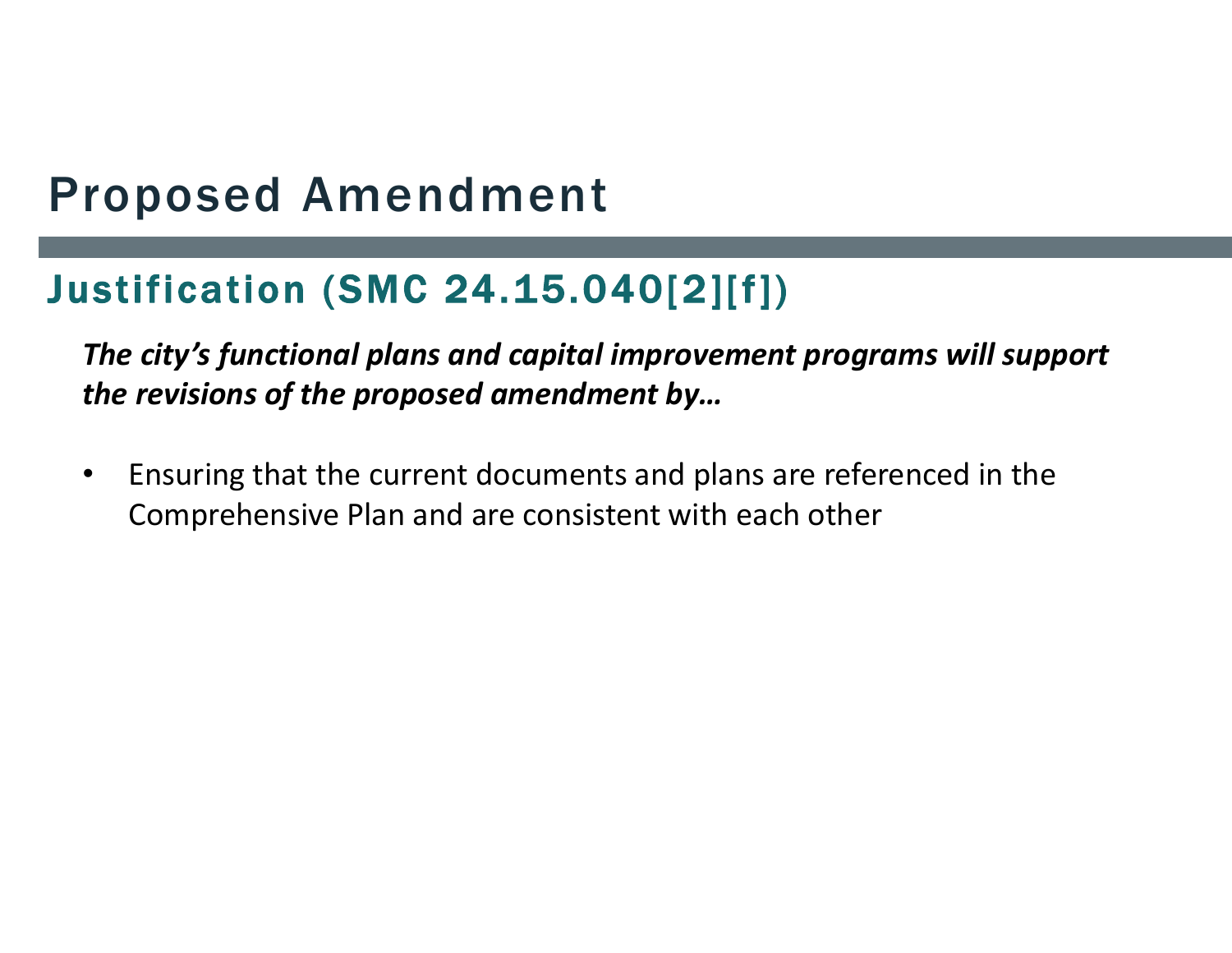### Justification (SMC 24.15.040[2][f])

*The city's functional plans and capital improvement programs will support the revisions of the proposed amendment by…* 

• Ensuring that the current documents and plans are referenced in the Comprehensive Plan and are consistent with each other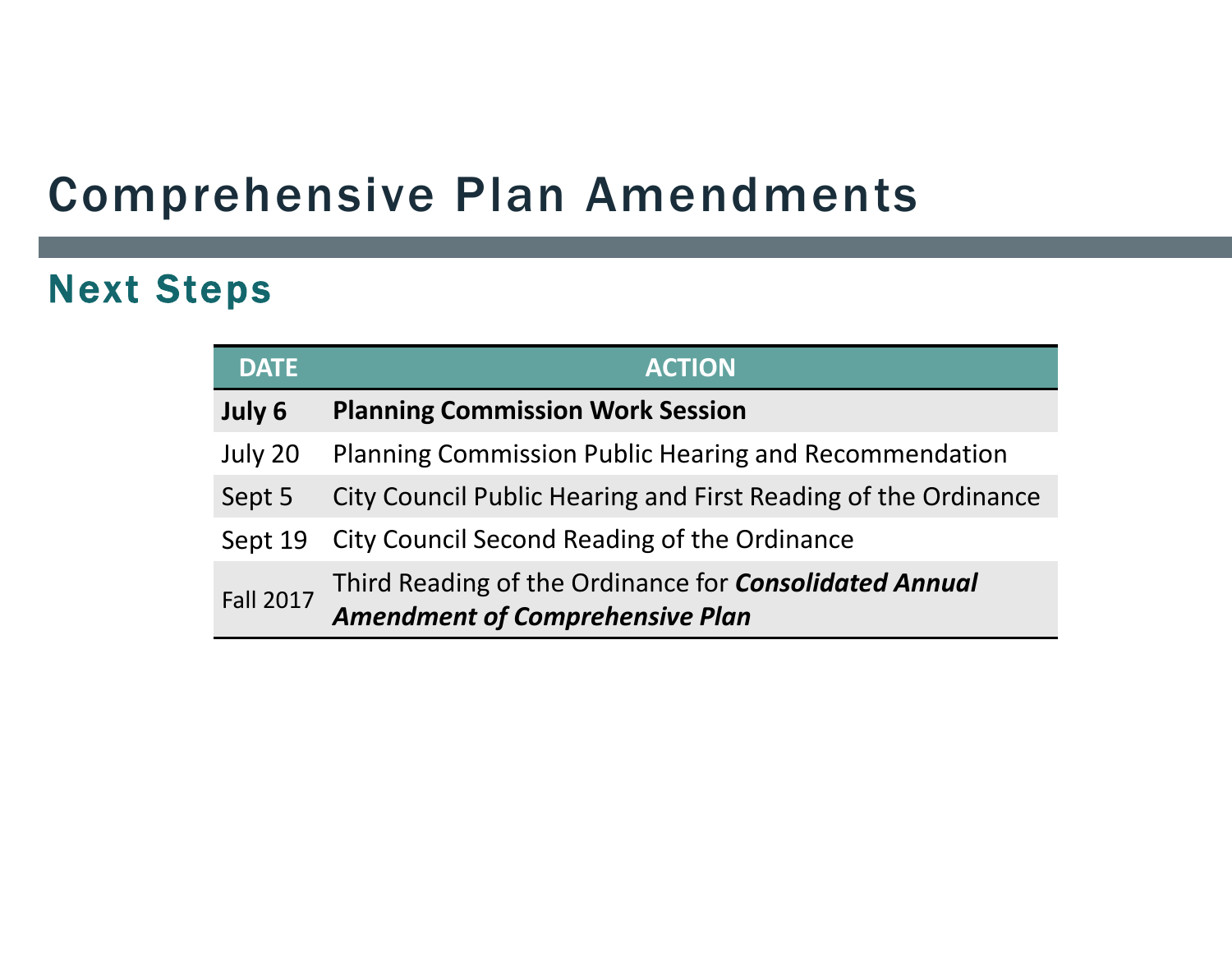### Next Steps

| <b>DATE</b>      | <b>ACTION</b>                                                                                           |
|------------------|---------------------------------------------------------------------------------------------------------|
| July 6           | <b>Planning Commission Work Session</b>                                                                 |
| July 20          | Planning Commission Public Hearing and Recommendation                                                   |
| Sept 5           | City Council Public Hearing and First Reading of the Ordinance                                          |
| Sept 19          | City Council Second Reading of the Ordinance                                                            |
| <b>Fall 2017</b> | Third Reading of the Ordinance for <b>Consolidated Annual</b><br><b>Amendment of Comprehensive Plan</b> |